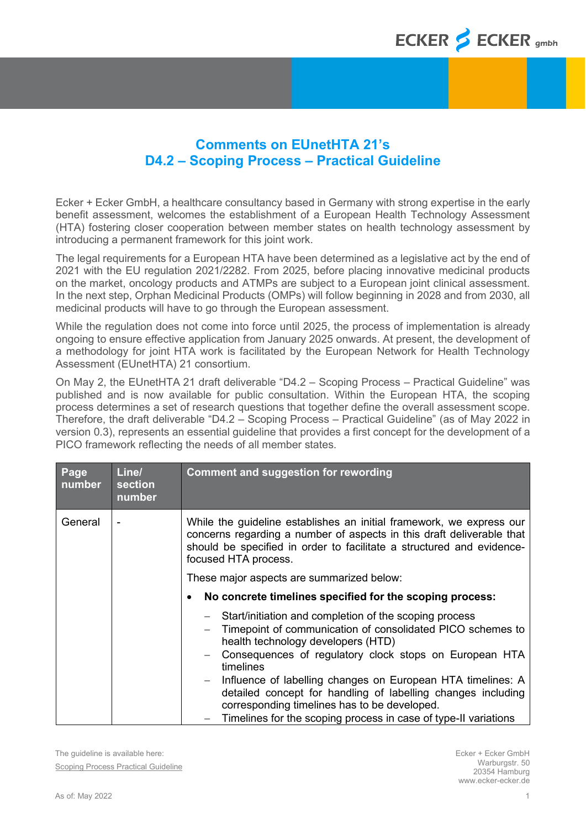## **Comments on EUnetHTA 21's D4.2 – Scoping Process – Practical Guideline**

Ecker + Ecker GmbH, a healthcare consultancy based in Germany with strong expertise in the early benefit assessment, welcomes the establishment of a European Health Technology Assessment (HTA) fostering closer cooperation between member states on health technology assessment by introducing a permanent framework for this joint work.

The legal requirements for a European HTA have been determined as a legislative act by the end of 2021 with the EU regulation 2021/2282. From 2025, before placing innovative medicinal products on the market, oncology products and ATMPs are subject to a European joint clinical assessment. In the next step, Orphan Medicinal Products (OMPs) will follow beginning in 2028 and from 2030, all medicinal products will have to go through the European assessment.

While the regulation does not come into force until 2025, the process of implementation is already ongoing to ensure effective application from January 2025 onwards. At present, the development of a methodology for joint HTA work is facilitated by the European Network for Health Technology Assessment (EUnetHTA) 21 consortium.

On May 2, the EUnetHTA 21 draft deliverable "D4.2 – Scoping Process – Practical Guideline" was published and is now available for public consultation. Within the European HTA, the scoping process determines a set of research questions that together define the overall assessment scope. Therefore, the draft deliverable "D4.2 – Scoping Process – Practical Guideline" (as of May 2022 in version 0.3), represents an essential guideline that provides a first concept for the development of a PICO framework reflecting the needs of all member states.

| Page<br>number | Line/<br>section<br>number | <b>Comment and suggestion for rewording</b>                                                                                                                                                                                                                                                                                                                                                                                                                                                  |  |
|----------------|----------------------------|----------------------------------------------------------------------------------------------------------------------------------------------------------------------------------------------------------------------------------------------------------------------------------------------------------------------------------------------------------------------------------------------------------------------------------------------------------------------------------------------|--|
| General        |                            | While the guideline establishes an initial framework, we express our<br>concerns regarding a number of aspects in this draft deliverable that<br>should be specified in order to facilitate a structured and evidence-<br>focused HTA process.                                                                                                                                                                                                                                               |  |
|                |                            | These major aspects are summarized below:                                                                                                                                                                                                                                                                                                                                                                                                                                                    |  |
|                |                            | No concrete timelines specified for the scoping process:<br>٠                                                                                                                                                                                                                                                                                                                                                                                                                                |  |
|                |                            | - Start/initiation and completion of the scoping process<br>Timepoint of communication of consolidated PICO schemes to<br>health technology developers (HTD)<br>Consequences of regulatory clock stops on European HTA<br>timelines<br>Influence of labelling changes on European HTA timelines: A<br>$-$<br>detailed concept for handling of labelling changes including<br>corresponding timelines has to be developed.<br>Timelines for the scoping process in case of type-II variations |  |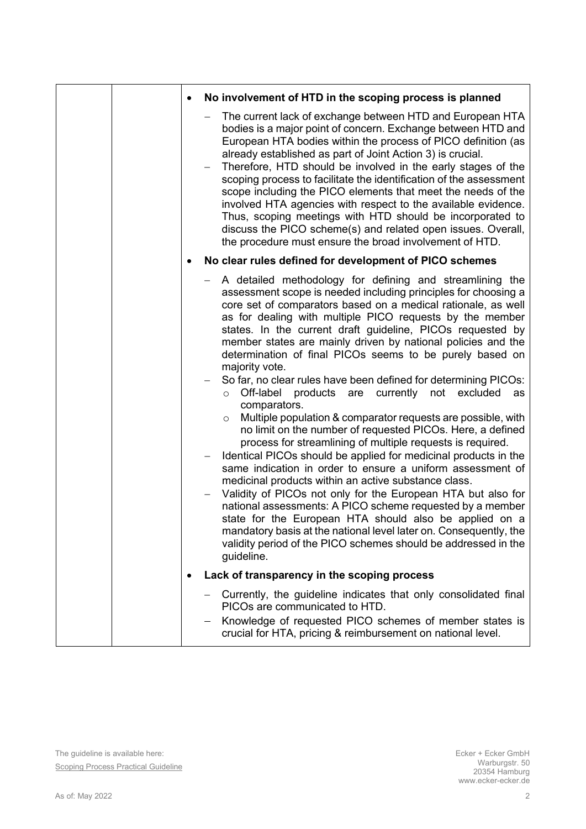| No involvement of HTD in the scoping process is planned                                                                                                                                                                                                                                                                                                                                                                                                                                                                                                                                                                                                                                                                                                                                                                                                                                                                                                                                                                                                                                                                                                                                                                                                                                                                                                                    |
|----------------------------------------------------------------------------------------------------------------------------------------------------------------------------------------------------------------------------------------------------------------------------------------------------------------------------------------------------------------------------------------------------------------------------------------------------------------------------------------------------------------------------------------------------------------------------------------------------------------------------------------------------------------------------------------------------------------------------------------------------------------------------------------------------------------------------------------------------------------------------------------------------------------------------------------------------------------------------------------------------------------------------------------------------------------------------------------------------------------------------------------------------------------------------------------------------------------------------------------------------------------------------------------------------------------------------------------------------------------------------|
| The current lack of exchange between HTD and European HTA<br>bodies is a major point of concern. Exchange between HTD and<br>European HTA bodies within the process of PICO definition (as<br>already established as part of Joint Action 3) is crucial.<br>Therefore, HTD should be involved in the early stages of the<br>scoping process to facilitate the identification of the assessment<br>scope including the PICO elements that meet the needs of the<br>involved HTA agencies with respect to the available evidence.<br>Thus, scoping meetings with HTD should be incorporated to<br>discuss the PICO scheme(s) and related open issues. Overall,<br>the procedure must ensure the broad involvement of HTD.                                                                                                                                                                                                                                                                                                                                                                                                                                                                                                                                                                                                                                                    |
| No clear rules defined for development of PICO schemes                                                                                                                                                                                                                                                                                                                                                                                                                                                                                                                                                                                                                                                                                                                                                                                                                                                                                                                                                                                                                                                                                                                                                                                                                                                                                                                     |
| A detailed methodology for defining and streamlining the<br>assessment scope is needed including principles for choosing a<br>core set of comparators based on a medical rationale, as well<br>as for dealing with multiple PICO requests by the member<br>states. In the current draft guideline, PICOs requested by<br>member states are mainly driven by national policies and the<br>determination of final PICOs seems to be purely based on<br>majority vote.<br>So far, no clear rules have been defined for determining PICOs:<br>Off-label products are currently<br>not<br>excluded<br>as<br>$\circ$<br>comparators.<br>Multiple population & comparator requests are possible, with<br>$\circ$<br>no limit on the number of requested PICOs. Here, a defined<br>process for streamlining of multiple requests is required.<br>Identical PICOs should be applied for medicinal products in the<br>same indication in order to ensure a uniform assessment of<br>medicinal products within an active substance class.<br>Validity of PICOs not only for the European HTA but also for<br>national assessments: A PICO scheme requested by a member<br>state for the European HTA should also be applied on a<br>mandatory basis at the national level later on. Consequently, the<br>validity period of the PICO schemes should be addressed in the<br>guideline. |
| Lack of transparency in the scoping process                                                                                                                                                                                                                                                                                                                                                                                                                                                                                                                                                                                                                                                                                                                                                                                                                                                                                                                                                                                                                                                                                                                                                                                                                                                                                                                                |
| Currently, the guideline indicates that only consolidated final<br>PICOs are communicated to HTD.                                                                                                                                                                                                                                                                                                                                                                                                                                                                                                                                                                                                                                                                                                                                                                                                                                                                                                                                                                                                                                                                                                                                                                                                                                                                          |
| Knowledge of requested PICO schemes of member states is<br>crucial for HTA, pricing & reimbursement on national level.                                                                                                                                                                                                                                                                                                                                                                                                                                                                                                                                                                                                                                                                                                                                                                                                                                                                                                                                                                                                                                                                                                                                                                                                                                                     |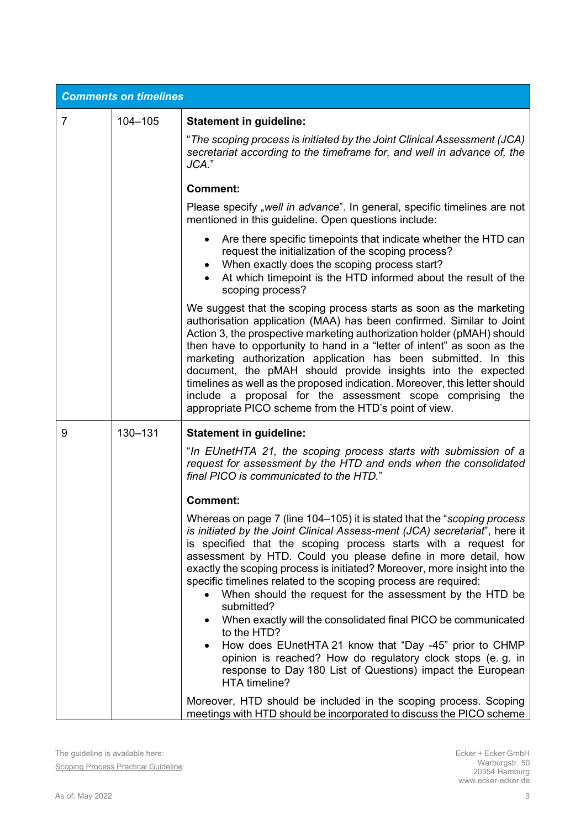|                | <b>Comments on timelines</b> |                                                                                                                                                                                                                                                                                                                                                                                                                                                                                                                                                                                                                                                                                                                                                                                                             |  |  |
|----------------|------------------------------|-------------------------------------------------------------------------------------------------------------------------------------------------------------------------------------------------------------------------------------------------------------------------------------------------------------------------------------------------------------------------------------------------------------------------------------------------------------------------------------------------------------------------------------------------------------------------------------------------------------------------------------------------------------------------------------------------------------------------------------------------------------------------------------------------------------|--|--|
| $\overline{7}$ | $104 - 105$                  | <b>Statement in guideline:</b>                                                                                                                                                                                                                                                                                                                                                                                                                                                                                                                                                                                                                                                                                                                                                                              |  |  |
|                |                              | "The scoping process is initiated by the Joint Clinical Assessment (JCA)<br>secretariat according to the timeframe for, and well in advance of, the<br>JCA."                                                                                                                                                                                                                                                                                                                                                                                                                                                                                                                                                                                                                                                |  |  |
|                |                              | <b>Comment:</b>                                                                                                                                                                                                                                                                                                                                                                                                                                                                                                                                                                                                                                                                                                                                                                                             |  |  |
|                |                              | Please specify "well in advance". In general, specific timelines are not<br>mentioned in this guideline. Open questions include:                                                                                                                                                                                                                                                                                                                                                                                                                                                                                                                                                                                                                                                                            |  |  |
|                |                              | • Are there specific timepoints that indicate whether the HTD can<br>request the initialization of the scoping process?<br>• When exactly does the scoping process start?<br>At which timepoint is the HTD informed about the result of the<br>scoping process?                                                                                                                                                                                                                                                                                                                                                                                                                                                                                                                                             |  |  |
|                |                              | We suggest that the scoping process starts as soon as the marketing<br>authorisation application (MAA) has been confirmed. Similar to Joint<br>Action 3, the prospective marketing authorization holder (pMAH) should<br>then have to opportunity to hand in a "letter of intent" as soon as the<br>marketing authorization application has been submitted. In this<br>document, the pMAH should provide insights into the expected<br>timelines as well as the proposed indication. Moreover, this letter should<br>include a proposal for the assessment scope comprising the<br>appropriate PICO scheme from the HTD's point of view.                                                                                                                                                                    |  |  |
| 9              | 130-131                      | <b>Statement in guideline:</b>                                                                                                                                                                                                                                                                                                                                                                                                                                                                                                                                                                                                                                                                                                                                                                              |  |  |
|                |                              | "In EUnetHTA 21, the scoping process starts with submission of a<br>request for assessment by the HTD and ends when the consolidated<br>final PICO is communicated to the HTD."                                                                                                                                                                                                                                                                                                                                                                                                                                                                                                                                                                                                                             |  |  |
|                |                              | <b>Comment:</b>                                                                                                                                                                                                                                                                                                                                                                                                                                                                                                                                                                                                                                                                                                                                                                                             |  |  |
|                |                              | Whereas on page 7 (line 104–105) it is stated that the "scoping process<br>is initiated by the Joint Clinical Assess-ment (JCA) secretariat", here it<br>is specified that the scoping process starts with a request for<br>assessment by HTD. Could you please define in more detail, how<br>exactly the scoping process is initiated? Moreover, more insight into the<br>specific timelines related to the scoping process are required:<br>When should the request for the assessment by the HTD be<br>submitted?<br>When exactly will the consolidated final PICO be communicated<br>to the HTD?<br>How does EUnetHTA 21 know that "Day -45" prior to CHMP<br>opinion is reached? How do regulatory clock stops (e.g. in<br>response to Day 180 List of Questions) impact the European<br>HTA timeline? |  |  |
|                |                              | Moreover, HTD should be included in the scoping process. Scoping<br>meetings with HTD should be incorporated to discuss the PICO scheme                                                                                                                                                                                                                                                                                                                                                                                                                                                                                                                                                                                                                                                                     |  |  |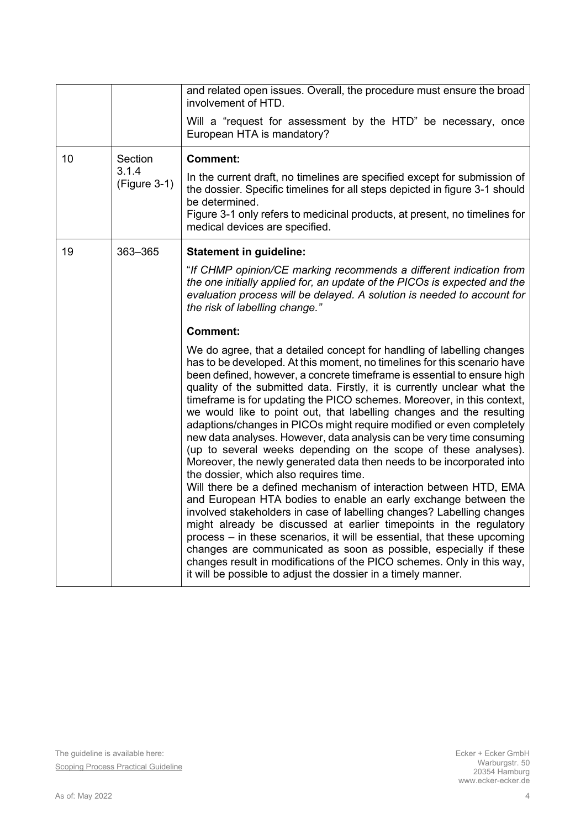|    |                         | and related open issues. Overall, the procedure must ensure the broad<br>involvement of HTD.                                                                                                                                                                                                                                                                                                                                                                                                                                                                                                                                                                                                                                                                                                                                                                                                                                                                                                                                                                                                                                                                                                                                                                                                                                                                                        |
|----|-------------------------|-------------------------------------------------------------------------------------------------------------------------------------------------------------------------------------------------------------------------------------------------------------------------------------------------------------------------------------------------------------------------------------------------------------------------------------------------------------------------------------------------------------------------------------------------------------------------------------------------------------------------------------------------------------------------------------------------------------------------------------------------------------------------------------------------------------------------------------------------------------------------------------------------------------------------------------------------------------------------------------------------------------------------------------------------------------------------------------------------------------------------------------------------------------------------------------------------------------------------------------------------------------------------------------------------------------------------------------------------------------------------------------|
|    |                         | Will a "request for assessment by the HTD" be necessary, once<br>European HTA is mandatory?                                                                                                                                                                                                                                                                                                                                                                                                                                                                                                                                                                                                                                                                                                                                                                                                                                                                                                                                                                                                                                                                                                                                                                                                                                                                                         |
| 10 | Section                 | <b>Comment:</b>                                                                                                                                                                                                                                                                                                                                                                                                                                                                                                                                                                                                                                                                                                                                                                                                                                                                                                                                                                                                                                                                                                                                                                                                                                                                                                                                                                     |
|    | 3.1.4<br>$(Figure 3-1)$ | In the current draft, no timelines are specified except for submission of<br>the dossier. Specific timelines for all steps depicted in figure 3-1 should<br>be determined.<br>Figure 3-1 only refers to medicinal products, at present, no timelines for<br>medical devices are specified.                                                                                                                                                                                                                                                                                                                                                                                                                                                                                                                                                                                                                                                                                                                                                                                                                                                                                                                                                                                                                                                                                          |
| 19 | 363-365                 | <b>Statement in guideline:</b>                                                                                                                                                                                                                                                                                                                                                                                                                                                                                                                                                                                                                                                                                                                                                                                                                                                                                                                                                                                                                                                                                                                                                                                                                                                                                                                                                      |
|    |                         | "If CHMP opinion/CE marking recommends a different indication from<br>the one initially applied for, an update of the PICOs is expected and the<br>evaluation process will be delayed. A solution is needed to account for<br>the risk of labelling change."                                                                                                                                                                                                                                                                                                                                                                                                                                                                                                                                                                                                                                                                                                                                                                                                                                                                                                                                                                                                                                                                                                                        |
|    |                         | <b>Comment:</b>                                                                                                                                                                                                                                                                                                                                                                                                                                                                                                                                                                                                                                                                                                                                                                                                                                                                                                                                                                                                                                                                                                                                                                                                                                                                                                                                                                     |
|    |                         | We do agree, that a detailed concept for handling of labelling changes<br>has to be developed. At this moment, no timelines for this scenario have<br>been defined, however, a concrete timeframe is essential to ensure high<br>quality of the submitted data. Firstly, it is currently unclear what the<br>timeframe is for updating the PICO schemes. Moreover, in this context,<br>we would like to point out, that labelling changes and the resulting<br>adaptions/changes in PICOs might require modified or even completely<br>new data analyses. However, data analysis can be very time consuming<br>(up to several weeks depending on the scope of these analyses).<br>Moreover, the newly generated data then needs to be incorporated into<br>the dossier, which also requires time.<br>Will there be a defined mechanism of interaction between HTD, EMA<br>and European HTA bodies to enable an early exchange between the<br>involved stakeholders in case of labelling changes? Labelling changes<br>might already be discussed at earlier timepoints in the regulatory<br>process – in these scenarios, it will be essential, that these upcoming<br>changes are communicated as soon as possible, especially if these<br>changes result in modifications of the PICO schemes. Only in this way,<br>it will be possible to adjust the dossier in a timely manner. |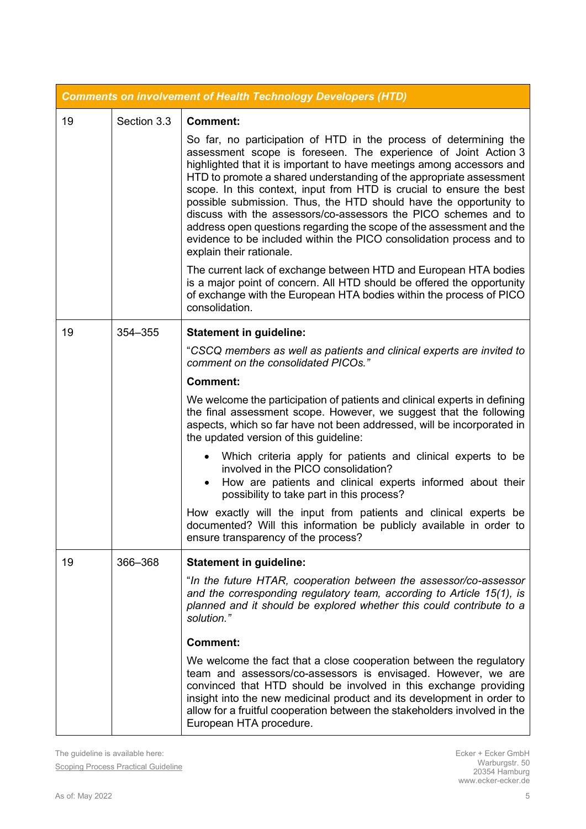| <b>Comments on involvement of Health Technology Developers (HTD)</b> |             |                                                                                                                                                                                                                                                                                                                                                                                                                                                                                                                                                                                                                                                                                 |  |
|----------------------------------------------------------------------|-------------|---------------------------------------------------------------------------------------------------------------------------------------------------------------------------------------------------------------------------------------------------------------------------------------------------------------------------------------------------------------------------------------------------------------------------------------------------------------------------------------------------------------------------------------------------------------------------------------------------------------------------------------------------------------------------------|--|
| 19                                                                   | Section 3.3 | <b>Comment:</b>                                                                                                                                                                                                                                                                                                                                                                                                                                                                                                                                                                                                                                                                 |  |
|                                                                      |             | So far, no participation of HTD in the process of determining the<br>assessment scope is foreseen. The experience of Joint Action 3<br>highlighted that it is important to have meetings among accessors and<br>HTD to promote a shared understanding of the appropriate assessment<br>scope. In this context, input from HTD is crucial to ensure the best<br>possible submission. Thus, the HTD should have the opportunity to<br>discuss with the assessors/co-assessors the PICO schemes and to<br>address open questions regarding the scope of the assessment and the<br>evidence to be included within the PICO consolidation process and to<br>explain their rationale. |  |
|                                                                      |             | The current lack of exchange between HTD and European HTA bodies<br>is a major point of concern. All HTD should be offered the opportunity<br>of exchange with the European HTA bodies within the process of PICO<br>consolidation.                                                                                                                                                                                                                                                                                                                                                                                                                                             |  |
| 19                                                                   | 354-355     | <b>Statement in guideline:</b>                                                                                                                                                                                                                                                                                                                                                                                                                                                                                                                                                                                                                                                  |  |
|                                                                      |             | "CSCQ members as well as patients and clinical experts are invited to<br>comment on the consolidated PICOs."                                                                                                                                                                                                                                                                                                                                                                                                                                                                                                                                                                    |  |
|                                                                      |             | <b>Comment:</b>                                                                                                                                                                                                                                                                                                                                                                                                                                                                                                                                                                                                                                                                 |  |
|                                                                      |             | We welcome the participation of patients and clinical experts in defining<br>the final assessment scope. However, we suggest that the following<br>aspects, which so far have not been addressed, will be incorporated in<br>the updated version of this guideline:                                                                                                                                                                                                                                                                                                                                                                                                             |  |
|                                                                      |             | Which criteria apply for patients and clinical experts to be<br>involved in the PICO consolidation?<br>How are patients and clinical experts informed about their<br>possibility to take part in this process?                                                                                                                                                                                                                                                                                                                                                                                                                                                                  |  |
|                                                                      |             | How exactly will the input from patients and clinical experts be<br>documented? Will this information be publicly available in order to<br>ensure transparency of the process?                                                                                                                                                                                                                                                                                                                                                                                                                                                                                                  |  |
| 19                                                                   | 366-368     | <b>Statement in guideline:</b>                                                                                                                                                                                                                                                                                                                                                                                                                                                                                                                                                                                                                                                  |  |
|                                                                      |             | "In the future HTAR, cooperation between the assessor/co-assessor<br>and the corresponding regulatory team, according to Article 15(1), is<br>planned and it should be explored whether this could contribute to a<br>solution."                                                                                                                                                                                                                                                                                                                                                                                                                                                |  |
|                                                                      |             | <b>Comment:</b>                                                                                                                                                                                                                                                                                                                                                                                                                                                                                                                                                                                                                                                                 |  |
|                                                                      |             | We welcome the fact that a close cooperation between the regulatory<br>team and assessors/co-assessors is envisaged. However, we are<br>convinced that HTD should be involved in this exchange providing<br>insight into the new medicinal product and its development in order to<br>allow for a fruitful cooperation between the stakeholders involved in the<br>European HTA procedure.                                                                                                                                                                                                                                                                                      |  |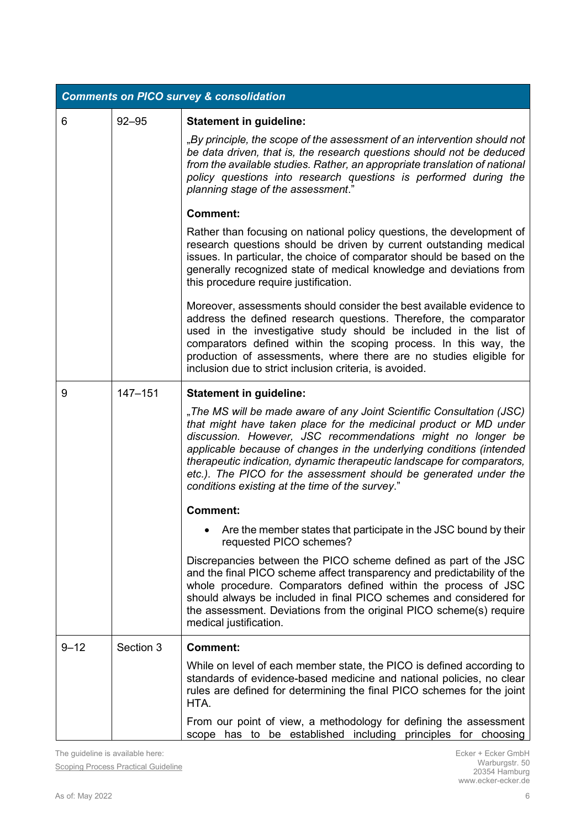| <b>Comments on PICO survey &amp; consolidation</b> |             |                                                                                                                                                                                                                                                                                                                                                                                                                                                                                    |  |
|----------------------------------------------------|-------------|------------------------------------------------------------------------------------------------------------------------------------------------------------------------------------------------------------------------------------------------------------------------------------------------------------------------------------------------------------------------------------------------------------------------------------------------------------------------------------|--|
| 6                                                  | $92 - 95$   | <b>Statement in guideline:</b>                                                                                                                                                                                                                                                                                                                                                                                                                                                     |  |
|                                                    |             | "By principle, the scope of the assessment of an intervention should not<br>be data driven, that is, the research questions should not be deduced<br>from the available studies. Rather, an appropriate translation of national<br>policy questions into research questions is performed during the<br>planning stage of the assessment."                                                                                                                                          |  |
|                                                    |             | <b>Comment:</b>                                                                                                                                                                                                                                                                                                                                                                                                                                                                    |  |
|                                                    |             | Rather than focusing on national policy questions, the development of<br>research questions should be driven by current outstanding medical<br>issues. In particular, the choice of comparator should be based on the<br>generally recognized state of medical knowledge and deviations from<br>this procedure require justification.                                                                                                                                              |  |
|                                                    |             | Moreover, assessments should consider the best available evidence to<br>address the defined research questions. Therefore, the comparator<br>used in the investigative study should be included in the list of<br>comparators defined within the scoping process. In this way, the<br>production of assessments, where there are no studies eligible for<br>inclusion due to strict inclusion criteria, is avoided.                                                                |  |
| 9                                                  | $147 - 151$ | <b>Statement in guideline:</b>                                                                                                                                                                                                                                                                                                                                                                                                                                                     |  |
|                                                    |             | "The MS will be made aware of any Joint Scientific Consultation (JSC)<br>that might have taken place for the medicinal product or MD under<br>discussion. However, JSC recommendations might no longer be<br>applicable because of changes in the underlying conditions (intended<br>therapeutic indication, dynamic therapeutic landscape for comparators,<br>etc.). The PICO for the assessment should be generated under the<br>conditions existing at the time of the survey." |  |
|                                                    |             | <b>Comment:</b>                                                                                                                                                                                                                                                                                                                                                                                                                                                                    |  |
|                                                    |             | Are the member states that participate in the JSC bound by their<br>requested PICO schemes?                                                                                                                                                                                                                                                                                                                                                                                        |  |
|                                                    |             | Discrepancies between the PICO scheme defined as part of the JSC<br>and the final PICO scheme affect transparency and predictability of the<br>whole procedure. Comparators defined within the process of JSC<br>should always be included in final PICO schemes and considered for<br>the assessment. Deviations from the original PICO scheme(s) require<br>medical justification.                                                                                               |  |
| $9 - 12$                                           | Section 3   | <b>Comment:</b>                                                                                                                                                                                                                                                                                                                                                                                                                                                                    |  |
|                                                    |             | While on level of each member state, the PICO is defined according to<br>standards of evidence-based medicine and national policies, no clear<br>rules are defined for determining the final PICO schemes for the joint<br>HTA.                                                                                                                                                                                                                                                    |  |
|                                                    |             | From our point of view, a methodology for defining the assessment<br>scope has to be established including principles for choosing                                                                                                                                                                                                                                                                                                                                                 |  |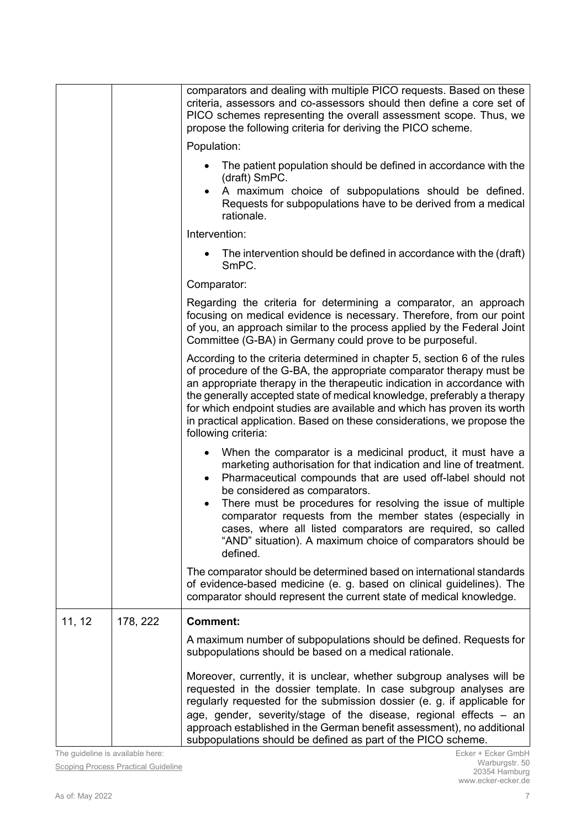|        |          | comparators and dealing with multiple PICO requests. Based on these<br>criteria, assessors and co-assessors should then define a core set of<br>PICO schemes representing the overall assessment scope. Thus, we<br>propose the following criteria for deriving the PICO scheme.                                                                                                                                                                                                                                          |
|--------|----------|---------------------------------------------------------------------------------------------------------------------------------------------------------------------------------------------------------------------------------------------------------------------------------------------------------------------------------------------------------------------------------------------------------------------------------------------------------------------------------------------------------------------------|
|        |          | Population:                                                                                                                                                                                                                                                                                                                                                                                                                                                                                                               |
|        |          | The patient population should be defined in accordance with the<br>(draft) SmPC.<br>A maximum choice of subpopulations should be defined.<br>$\bullet$<br>Requests for subpopulations have to be derived from a medical<br>rationale.                                                                                                                                                                                                                                                                                     |
|        |          | Intervention:                                                                                                                                                                                                                                                                                                                                                                                                                                                                                                             |
|        |          | The intervention should be defined in accordance with the (draft)<br>SmPC.                                                                                                                                                                                                                                                                                                                                                                                                                                                |
|        |          | Comparator:                                                                                                                                                                                                                                                                                                                                                                                                                                                                                                               |
|        |          | Regarding the criteria for determining a comparator, an approach<br>focusing on medical evidence is necessary. Therefore, from our point<br>of you, an approach similar to the process applied by the Federal Joint<br>Committee (G-BA) in Germany could prove to be purposeful.                                                                                                                                                                                                                                          |
|        |          | According to the criteria determined in chapter 5, section 6 of the rules<br>of procedure of the G-BA, the appropriate comparator therapy must be<br>an appropriate therapy in the therapeutic indication in accordance with<br>the generally accepted state of medical knowledge, preferably a therapy<br>for which endpoint studies are available and which has proven its worth<br>in practical application. Based on these considerations, we propose the<br>following criteria:                                      |
|        |          | When the comparator is a medicinal product, it must have a<br>$\bullet$<br>marketing authorisation for that indication and line of treatment.<br>Pharmaceutical compounds that are used off-label should not<br>٠<br>be considered as comparators.<br>There must be procedures for resolving the issue of multiple<br>comparator requests from the member states (especially in<br>cases, where all listed comparators are required, so called<br>"AND" situation). A maximum choice of comparators should be<br>defined. |
|        |          | The comparator should be determined based on international standards<br>of evidence-based medicine (e. g. based on clinical guidelines). The<br>comparator should represent the current state of medical knowledge.                                                                                                                                                                                                                                                                                                       |
| 11, 12 | 178, 222 | <b>Comment:</b>                                                                                                                                                                                                                                                                                                                                                                                                                                                                                                           |
|        |          | A maximum number of subpopulations should be defined. Requests for<br>subpopulations should be based on a medical rationale.                                                                                                                                                                                                                                                                                                                                                                                              |
|        |          | Moreover, currently, it is unclear, whether subgroup analyses will be<br>requested in the dossier template. In case subgroup analyses are<br>regularly requested for the submission dossier (e. g. if applicable for<br>age, gender, severity/stage of the disease, regional effects - an<br>approach established in the German benefit assessment), no additional<br>subpopulations should be defined as part of the PICO scheme.                                                                                        |

The guideline is available here:

**[Scoping Process Practical Guideline](https://www.eunethta.eu/wp-content/uploads/2022/05/4.2-Scoping-Process-Practical-Guideline-version-for-public-consultation-v0.3.pdf?x69613)**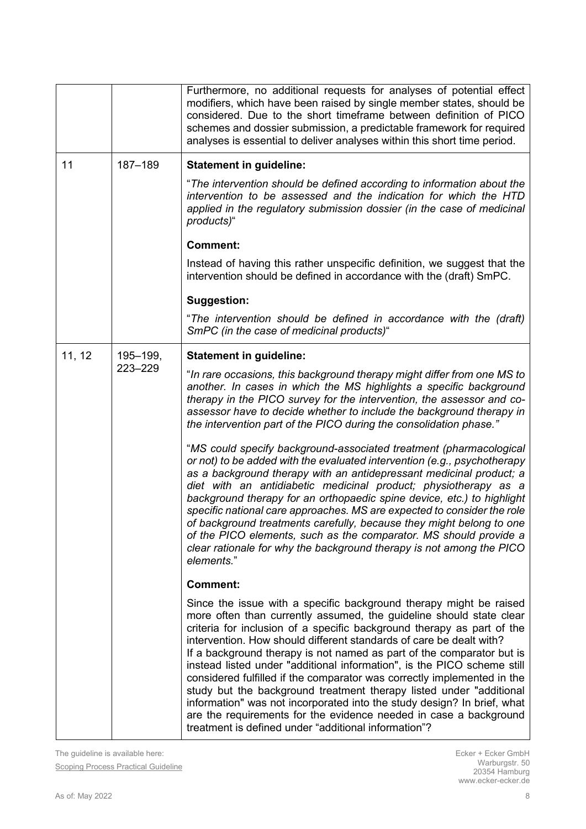|        |                     | Furthermore, no additional requests for analyses of potential effect<br>modifiers, which have been raised by single member states, should be<br>considered. Due to the short timeframe between definition of PICO<br>schemes and dossier submission, a predictable framework for required<br>analyses is essential to deliver analyses within this short time period.                                                                                                                                                                                                                                                                                                                                                                                                                                    |
|--------|---------------------|----------------------------------------------------------------------------------------------------------------------------------------------------------------------------------------------------------------------------------------------------------------------------------------------------------------------------------------------------------------------------------------------------------------------------------------------------------------------------------------------------------------------------------------------------------------------------------------------------------------------------------------------------------------------------------------------------------------------------------------------------------------------------------------------------------|
| 11     | 187-189             | <b>Statement in guideline:</b>                                                                                                                                                                                                                                                                                                                                                                                                                                                                                                                                                                                                                                                                                                                                                                           |
|        |                     | "The intervention should be defined according to information about the<br>intervention to be assessed and the indication for which the HTD<br>applied in the regulatory submission dossier (in the case of medicinal<br>products)"                                                                                                                                                                                                                                                                                                                                                                                                                                                                                                                                                                       |
|        |                     | <b>Comment:</b>                                                                                                                                                                                                                                                                                                                                                                                                                                                                                                                                                                                                                                                                                                                                                                                          |
|        |                     | Instead of having this rather unspecific definition, we suggest that the<br>intervention should be defined in accordance with the (draft) SmPC.                                                                                                                                                                                                                                                                                                                                                                                                                                                                                                                                                                                                                                                          |
|        |                     | <b>Suggestion:</b>                                                                                                                                                                                                                                                                                                                                                                                                                                                                                                                                                                                                                                                                                                                                                                                       |
|        |                     | "The intervention should be defined in accordance with the (draft)<br>SmPC (in the case of medicinal products)"                                                                                                                                                                                                                                                                                                                                                                                                                                                                                                                                                                                                                                                                                          |
| 11, 12 | 195-199,<br>223-229 | <b>Statement in guideline:</b>                                                                                                                                                                                                                                                                                                                                                                                                                                                                                                                                                                                                                                                                                                                                                                           |
|        |                     | "In rare occasions, this background therapy might differ from one MS to<br>another. In cases in which the MS highlights a specific background<br>therapy in the PICO survey for the intervention, the assessor and co-<br>assessor have to decide whether to include the background therapy in<br>the intervention part of the PICO during the consolidation phase."                                                                                                                                                                                                                                                                                                                                                                                                                                     |
|        |                     | "MS could specify background-associated treatment (pharmacological<br>or not) to be added with the evaluated intervention (e.g., psychotherapy<br>as a background therapy with an antidepressant medicinal product; a<br>diet with an antidiabetic medicinal product; physiotherapy as a<br>background therapy for an orthopaedic spine device, etc.) to highlight<br>specific national care approaches. MS are expected to consider the role<br>of background treatments carefully, because they might belong to one<br>of the PICO elements, such as the comparator. MS should provide a<br>clear rationale for why the background therapy is not among the PICO<br>elements."                                                                                                                         |
|        |                     | <b>Comment:</b>                                                                                                                                                                                                                                                                                                                                                                                                                                                                                                                                                                                                                                                                                                                                                                                          |
|        |                     | Since the issue with a specific background therapy might be raised<br>more often than currently assumed, the guideline should state clear<br>criteria for inclusion of a specific background therapy as part of the<br>intervention. How should different standards of care be dealt with?<br>If a background therapy is not named as part of the comparator but is<br>instead listed under "additional information", is the PICO scheme still<br>considered fulfilled if the comparator was correctly implemented in the<br>study but the background treatment therapy listed under "additional<br>information" was not incorporated into the study design? In brief, what<br>are the requirements for the evidence needed in case a background<br>treatment is defined under "additional information"? |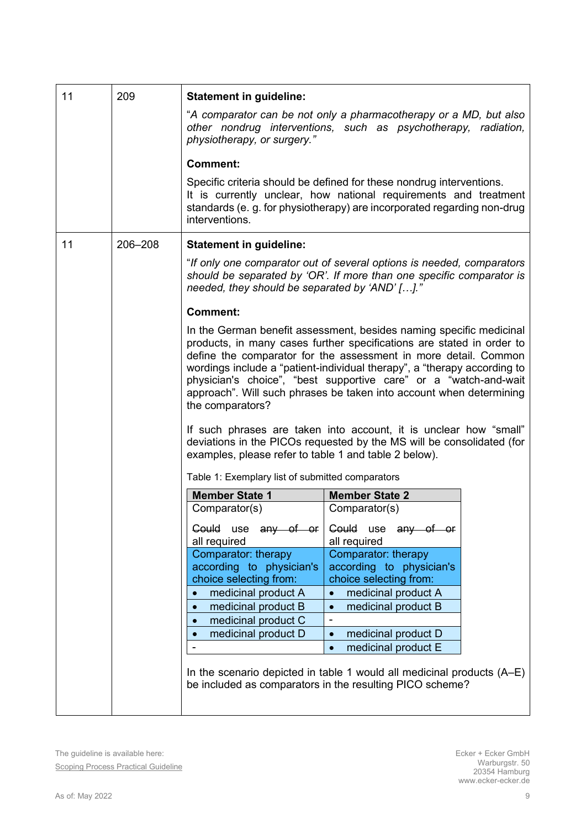<span id="page-8-0"></span>

| 11 | 209     | <b>Statement in guideline:</b>                                                                                                                                                                                                                                                                                                                                                                                                                             |                                                                                                                                                                                                                                                                                                                                                                   |  |  |  |  |
|----|---------|------------------------------------------------------------------------------------------------------------------------------------------------------------------------------------------------------------------------------------------------------------------------------------------------------------------------------------------------------------------------------------------------------------------------------------------------------------|-------------------------------------------------------------------------------------------------------------------------------------------------------------------------------------------------------------------------------------------------------------------------------------------------------------------------------------------------------------------|--|--|--|--|
|    |         | "A comparator can be not only a pharmacotherapy or a MD, but also<br>other nondrug interventions, such as psychotherapy, radiation,<br>physiotherapy, or surgery."                                                                                                                                                                                                                                                                                         |                                                                                                                                                                                                                                                                                                                                                                   |  |  |  |  |
|    |         | <b>Comment:</b>                                                                                                                                                                                                                                                                                                                                                                                                                                            |                                                                                                                                                                                                                                                                                                                                                                   |  |  |  |  |
|    |         | Specific criteria should be defined for these nondrug interventions.<br>It is currently unclear, how national requirements and treatment<br>standards (e. g. for physiotherapy) are incorporated regarding non-drug<br>interventions.                                                                                                                                                                                                                      |                                                                                                                                                                                                                                                                                                                                                                   |  |  |  |  |
| 11 | 206-208 | <b>Statement in guideline:</b>                                                                                                                                                                                                                                                                                                                                                                                                                             |                                                                                                                                                                                                                                                                                                                                                                   |  |  |  |  |
|    |         | "If only one comparator out of several options is needed, comparators<br>should be separated by 'OR'. If more than one specific comparator is<br>needed, they should be separated by 'AND' []."                                                                                                                                                                                                                                                            |                                                                                                                                                                                                                                                                                                                                                                   |  |  |  |  |
|    |         | <b>Comment:</b>                                                                                                                                                                                                                                                                                                                                                                                                                                            |                                                                                                                                                                                                                                                                                                                                                                   |  |  |  |  |
|    |         | In the German benefit assessment, besides naming specific medicinal<br>products, in many cases further specifications are stated in order to<br>define the comparator for the assessment in more detail. Common<br>wordings include a "patient-individual therapy", a "therapy according to<br>physician's choice", "best supportive care" or a "watch-and-wait<br>approach". Will such phrases be taken into account when determining<br>the comparators? |                                                                                                                                                                                                                                                                                                                                                                   |  |  |  |  |
|    |         | examples, please refer to table 1 and table 2 below).                                                                                                                                                                                                                                                                                                                                                                                                      | If such phrases are taken into account, it is unclear how "small"<br>deviations in the PICOs requested by the MS will be consolidated (for                                                                                                                                                                                                                        |  |  |  |  |
|    |         | Table 1: Exemplary list of submitted comparators                                                                                                                                                                                                                                                                                                                                                                                                           |                                                                                                                                                                                                                                                                                                                                                                   |  |  |  |  |
|    |         | <b>Member State 1</b>                                                                                                                                                                                                                                                                                                                                                                                                                                      | <b>Member State 2</b>                                                                                                                                                                                                                                                                                                                                             |  |  |  |  |
|    |         | Comparator(s)                                                                                                                                                                                                                                                                                                                                                                                                                                              | Comparator(s)                                                                                                                                                                                                                                                                                                                                                     |  |  |  |  |
|    |         | Could use any of or<br>all required                                                                                                                                                                                                                                                                                                                                                                                                                        | Could use any of or<br>all required                                                                                                                                                                                                                                                                                                                               |  |  |  |  |
|    |         | Comparator: therapy<br>according to physician's<br>choice selecting from:<br>medicinal product A<br>medicinal product B<br>$\bullet$<br>medicinal product C<br>medicinal product D                                                                                                                                                                                                                                                                         | Comparator: therapy<br>according to physician's<br>choice selecting from:<br>medicinal product A<br>medicinal product B<br>$\overline{\phantom{a}}$<br>medicinal product D<br>$\bullet$<br>medicinal product E<br>$\bullet$<br>In the scenario depicted in table 1 would all medicinal products (A–E)<br>be included as comparators in the resulting PICO scheme? |  |  |  |  |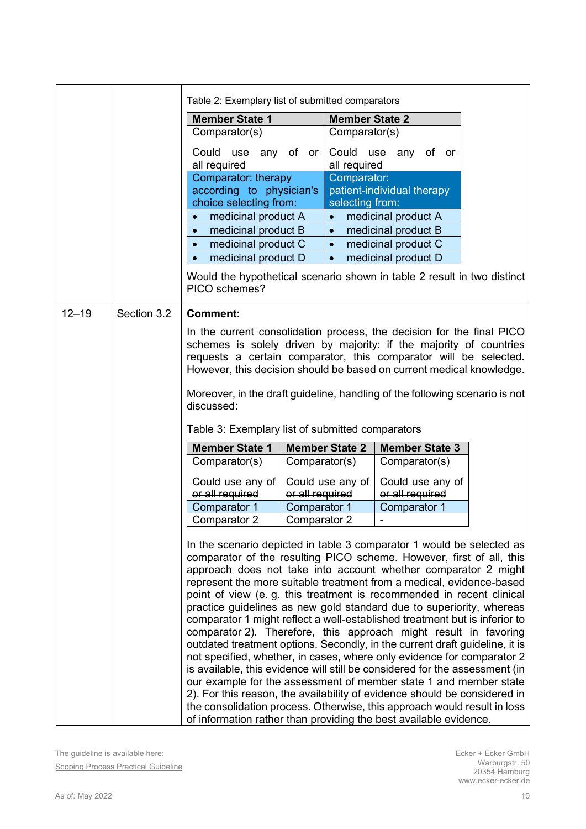<span id="page-9-1"></span><span id="page-9-0"></span>

|           |             | Table 2: Exemplary list of submitted comparators                                                                                                                                                                                                                                                                                                                                                                                                                                                                                                                                                                                                                                                                                                                                                                                                                                                                                                                                                                                                                                                                                      |                 |                                |                            |  |
|-----------|-------------|---------------------------------------------------------------------------------------------------------------------------------------------------------------------------------------------------------------------------------------------------------------------------------------------------------------------------------------------------------------------------------------------------------------------------------------------------------------------------------------------------------------------------------------------------------------------------------------------------------------------------------------------------------------------------------------------------------------------------------------------------------------------------------------------------------------------------------------------------------------------------------------------------------------------------------------------------------------------------------------------------------------------------------------------------------------------------------------------------------------------------------------|-----------------|--------------------------------|----------------------------|--|
|           |             | <b>Member State 1</b>                                                                                                                                                                                                                                                                                                                                                                                                                                                                                                                                                                                                                                                                                                                                                                                                                                                                                                                                                                                                                                                                                                                 |                 | <b>Member State 2</b>          |                            |  |
|           |             | Comparator(s)                                                                                                                                                                                                                                                                                                                                                                                                                                                                                                                                                                                                                                                                                                                                                                                                                                                                                                                                                                                                                                                                                                                         |                 | Comparator(s)                  |                            |  |
|           |             | Could use any of or<br>all required                                                                                                                                                                                                                                                                                                                                                                                                                                                                                                                                                                                                                                                                                                                                                                                                                                                                                                                                                                                                                                                                                                   |                 | all required                   | Could use any of or        |  |
|           |             | Comparator: therapy<br>according to physician's<br>choice selecting from:                                                                                                                                                                                                                                                                                                                                                                                                                                                                                                                                                                                                                                                                                                                                                                                                                                                                                                                                                                                                                                                             |                 | Comparator:<br>selecting from: | patient-individual therapy |  |
|           |             | medicinal product A                                                                                                                                                                                                                                                                                                                                                                                                                                                                                                                                                                                                                                                                                                                                                                                                                                                                                                                                                                                                                                                                                                                   |                 | $\bullet$                      | medicinal product A        |  |
|           |             | medicinal product B<br>$\bullet$                                                                                                                                                                                                                                                                                                                                                                                                                                                                                                                                                                                                                                                                                                                                                                                                                                                                                                                                                                                                                                                                                                      |                 | $\bullet$                      | medicinal product B        |  |
|           |             | medicinal product C                                                                                                                                                                                                                                                                                                                                                                                                                                                                                                                                                                                                                                                                                                                                                                                                                                                                                                                                                                                                                                                                                                                   |                 | $\bullet$                      | medicinal product C        |  |
|           |             | medicinal product D                                                                                                                                                                                                                                                                                                                                                                                                                                                                                                                                                                                                                                                                                                                                                                                                                                                                                                                                                                                                                                                                                                                   |                 | $\bullet$                      | medicinal product D        |  |
|           |             | Would the hypothetical scenario shown in table 2 result in two distinct<br>PICO schemes?                                                                                                                                                                                                                                                                                                                                                                                                                                                                                                                                                                                                                                                                                                                                                                                                                                                                                                                                                                                                                                              |                 |                                |                            |  |
| $12 - 19$ | Section 3.2 | <b>Comment:</b>                                                                                                                                                                                                                                                                                                                                                                                                                                                                                                                                                                                                                                                                                                                                                                                                                                                                                                                                                                                                                                                                                                                       |                 |                                |                            |  |
|           |             | In the current consolidation process, the decision for the final PICO<br>schemes is solely driven by majority: if the majority of countries<br>requests a certain comparator, this comparator will be selected.<br>However, this decision should be based on current medical knowledge.                                                                                                                                                                                                                                                                                                                                                                                                                                                                                                                                                                                                                                                                                                                                                                                                                                               |                 |                                |                            |  |
|           |             | Moreover, in the draft guideline, handling of the following scenario is not<br>discussed:                                                                                                                                                                                                                                                                                                                                                                                                                                                                                                                                                                                                                                                                                                                                                                                                                                                                                                                                                                                                                                             |                 |                                |                            |  |
|           |             | Table 3: Exemplary list of submitted comparators                                                                                                                                                                                                                                                                                                                                                                                                                                                                                                                                                                                                                                                                                                                                                                                                                                                                                                                                                                                                                                                                                      |                 |                                |                            |  |
|           |             | <b>Member State 1</b>                                                                                                                                                                                                                                                                                                                                                                                                                                                                                                                                                                                                                                                                                                                                                                                                                                                                                                                                                                                                                                                                                                                 |                 | <b>Member State 2</b>          | <b>Member State 3</b>      |  |
|           |             | Comparator(s)                                                                                                                                                                                                                                                                                                                                                                                                                                                                                                                                                                                                                                                                                                                                                                                                                                                                                                                                                                                                                                                                                                                         | Comparator(s)   |                                | Comparator(s)              |  |
|           |             | Could use any of                                                                                                                                                                                                                                                                                                                                                                                                                                                                                                                                                                                                                                                                                                                                                                                                                                                                                                                                                                                                                                                                                                                      |                 | Could use any of               | Could use any of           |  |
|           |             | or all required                                                                                                                                                                                                                                                                                                                                                                                                                                                                                                                                                                                                                                                                                                                                                                                                                                                                                                                                                                                                                                                                                                                       | or all required |                                | or all required            |  |
|           |             | Comparator 1                                                                                                                                                                                                                                                                                                                                                                                                                                                                                                                                                                                                                                                                                                                                                                                                                                                                                                                                                                                                                                                                                                                          | Comparator 1    |                                | Comparator 1               |  |
|           |             | Comparator 2                                                                                                                                                                                                                                                                                                                                                                                                                                                                                                                                                                                                                                                                                                                                                                                                                                                                                                                                                                                                                                                                                                                          | Comparator 2    |                                |                            |  |
|           |             | In the scenario depicted in table 3 comparator 1 would be selected as<br>comparator of the resulting PICO scheme. However, first of all, this<br>approach does not take into account whether comparator 2 might<br>represent the more suitable treatment from a medical, evidence-based<br>point of view (e. g. this treatment is recommended in recent clinical<br>practice guidelines as new gold standard due to superiority, whereas<br>comparator 1 might reflect a well-established treatment but is inferior to<br>comparator 2). Therefore, this approach might result in favoring<br>outdated treatment options. Secondly, in the current draft guideline, it is<br>not specified, whether, in cases, where only evidence for comparator 2<br>is available, this evidence will still be considered for the assessment (in<br>our example for the assessment of member state 1 and member state<br>2). For this reason, the availability of evidence should be considered in<br>the consolidation process. Otherwise, this approach would result in loss<br>of information rather than providing the best available evidence. |                 |                                |                            |  |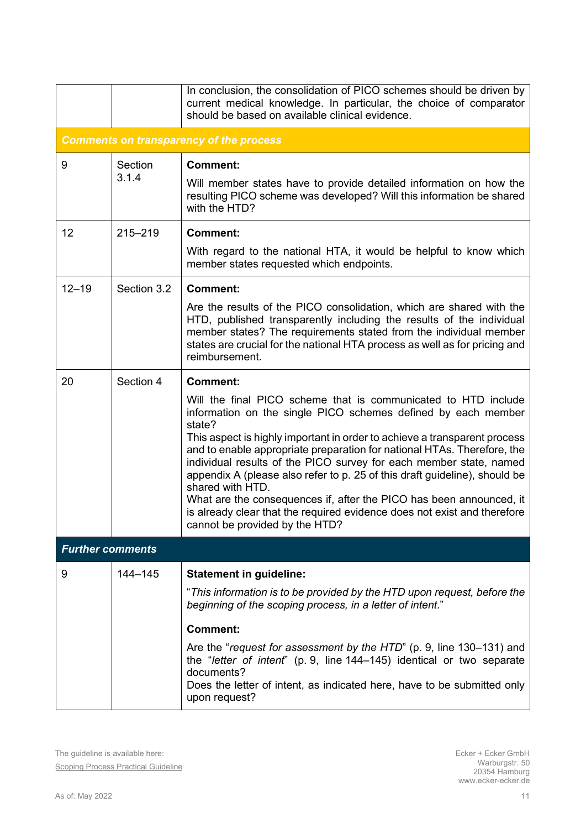|                         |                                                | In conclusion, the consolidation of PICO schemes should be driven by<br>current medical knowledge. In particular, the choice of comparator<br>should be based on available clinical evidence.                                                                                                                                                                                                                                                                                                                                                                                                                                                                                     |  |  |  |  |
|-------------------------|------------------------------------------------|-----------------------------------------------------------------------------------------------------------------------------------------------------------------------------------------------------------------------------------------------------------------------------------------------------------------------------------------------------------------------------------------------------------------------------------------------------------------------------------------------------------------------------------------------------------------------------------------------------------------------------------------------------------------------------------|--|--|--|--|
|                         | <b>Comments on transparency of the process</b> |                                                                                                                                                                                                                                                                                                                                                                                                                                                                                                                                                                                                                                                                                   |  |  |  |  |
| 9                       | Section<br>3.1.4                               | <b>Comment:</b><br>Will member states have to provide detailed information on how the<br>resulting PICO scheme was developed? Will this information be shared<br>with the HTD?                                                                                                                                                                                                                                                                                                                                                                                                                                                                                                    |  |  |  |  |
| 12                      | $215 - 219$                                    | <b>Comment:</b><br>With regard to the national HTA, it would be helpful to know which<br>member states requested which endpoints.                                                                                                                                                                                                                                                                                                                                                                                                                                                                                                                                                 |  |  |  |  |
| $12 - 19$               | Section 3.2                                    | <b>Comment:</b><br>Are the results of the PICO consolidation, which are shared with the<br>HTD, published transparently including the results of the individual<br>member states? The requirements stated from the individual member<br>states are crucial for the national HTA process as well as for pricing and<br>reimbursement.                                                                                                                                                                                                                                                                                                                                              |  |  |  |  |
| 20                      | Section 4                                      | <b>Comment:</b><br>Will the final PICO scheme that is communicated to HTD include<br>information on the single PICO schemes defined by each member<br>state?<br>This aspect is highly important in order to achieve a transparent process<br>and to enable appropriate preparation for national HTAs. Therefore, the<br>individual results of the PICO survey for each member state, named<br>appendix A (please also refer to p. 25 of this draft guideline), should be<br>shared with HTD.<br>What are the consequences if, after the PICO has been announced, it<br>is already clear that the required evidence does not exist and therefore<br>cannot be provided by the HTD? |  |  |  |  |
| <b>Further comments</b> |                                                |                                                                                                                                                                                                                                                                                                                                                                                                                                                                                                                                                                                                                                                                                   |  |  |  |  |
| 9                       | 144-145                                        | <b>Statement in guideline:</b><br>"This information is to be provided by the HTD upon request, before the<br>beginning of the scoping process, in a letter of intent."<br><b>Comment:</b><br>Are the "request for assessment by the HTD" (p. 9, line 130–131) and<br>the "letter of intent" (p. 9, line 144–145) identical or two separate<br>documents?<br>Does the letter of intent, as indicated here, have to be submitted only<br>upon request?                                                                                                                                                                                                                              |  |  |  |  |